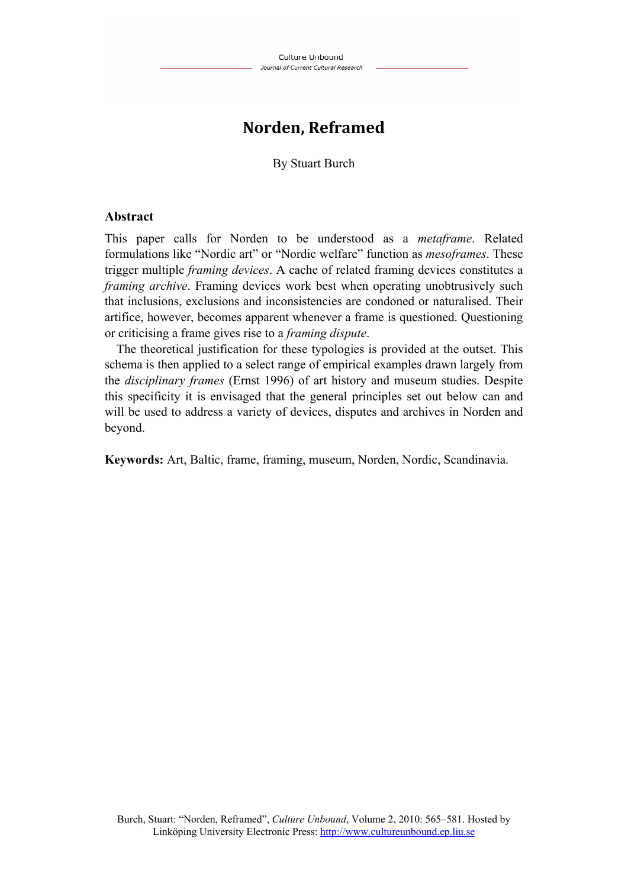# **Norden, Reframed**

By Stuart Burch

#### **Abstract**

This paper calls for Norden to be understood as a *metaframe*. Related formulations like "Nordic art" or "Nordic welfare" function as *mesoframes*. These trigger multiple *framing devices*. A cache of related framing devices constitutes a *framing archive*. Framing devices work best when operating unobtrusively such that inclusions, exclusions and inconsistencies are condoned or naturalised. Their artifice, however, becomes apparent whenever a frame is questioned. Questioning or criticising a frame gives rise to a *framing dispute*.

The theoretical justification for these typologies is provided at the outset. This schema is then applied to a select range of empirical examples drawn largely from the *disciplinary frames* (Ernst 1996) of art history and museum studies. Despite this specificity it is envisaged that the general principles set out below can and will be used to address a variety of devices, disputes and archives in Norden and beyond.

**Keywords:** Art, Baltic, frame, framing, museum, Norden, Nordic, Scandinavia.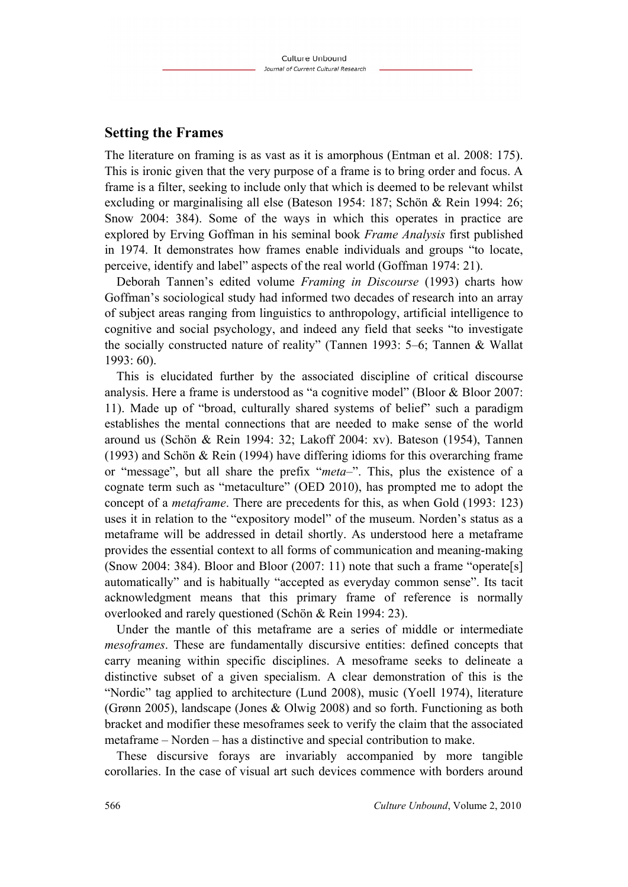## **Setting the Frames**

The literature on framing is as vast as it is amorphous (Entman et al. 2008: 175). This is ironic given that the very purpose of a frame is to bring order and focus. A frame is a filter, seeking to include only that which is deemed to be relevant whilst excluding or marginalising all else (Bateson 1954: 187; Schön & Rein 1994: 26; Snow 2004: 384). Some of the ways in which this operates in practice are explored by Erving Goffman in his seminal book *Frame Analysis* first published in 1974. It demonstrates how frames enable individuals and groups "to locate, perceive, identify and label" aspects of the real world (Goffman 1974: 21).

Deborah Tannen's edited volume *Framing in Discourse* (1993) charts how Goffman's sociological study had informed two decades of research into an array of subject areas ranging from linguistics to anthropology, artificial intelligence to cognitive and social psychology, and indeed any field that seeks "to investigate the socially constructed nature of reality" (Tannen 1993: 5–6; Tannen & Wallat 1993: 60).

This is elucidated further by the associated discipline of critical discourse analysis. Here a frame is understood as "a cognitive model" (Bloor & Bloor 2007: 11). Made up of "broad, culturally shared systems of belief" such a paradigm establishes the mental connections that are needed to make sense of the world around us (Schön & Rein 1994: 32; Lakoff 2004: xv). Bateson (1954), Tannen (1993) and Schön & Rein (1994) have differing idioms for this overarching frame or "message", but all share the prefix "*meta*–". This, plus the existence of a cognate term such as "metaculture" (OED 2010), has prompted me to adopt the concept of a *metaframe*. There are precedents for this, as when Gold (1993: 123) uses it in relation to the "expository model" of the museum. Norden's status as a metaframe will be addressed in detail shortly. As understood here a metaframe provides the essential context to all forms of communication and meaning-making (Snow 2004: 384). Bloor and Bloor (2007: 11) note that such a frame "operate[s] automatically" and is habitually "accepted as everyday common sense". Its tacit acknowledgment means that this primary frame of reference is normally overlooked and rarely questioned (Schön & Rein 1994: 23).

Under the mantle of this metaframe are a series of middle or intermediate *mesoframes*. These are fundamentally discursive entities: defined concepts that carry meaning within specific disciplines. A mesoframe seeks to delineate a distinctive subset of a given specialism. A clear demonstration of this is the "Nordic" tag applied to architecture (Lund 2008), music (Yoell 1974), literature (Grønn 2005), landscape (Jones & Olwig 2008) and so forth. Functioning as both bracket and modifier these mesoframes seek to verify the claim that the associated metaframe – Norden – has a distinctive and special contribution to make.

These discursive forays are invariably accompanied by more tangible corollaries. In the case of visual art such devices commence with borders around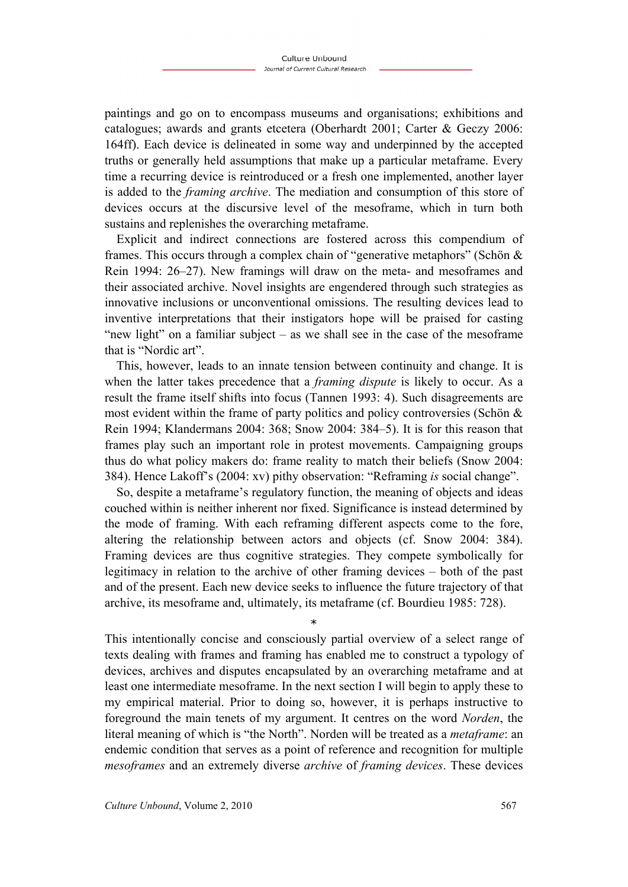paintings and go on to encompass museums and organisations; exhibitions and catalogues; awards and grants etcetera (Oberhardt 2001; Carter & Geczy 2006: 164ff). Each device is delineated in some way and underpinned by the accepted truths or generally held assumptions that make up a particular metaframe. Every time a recurring device is reintroduced or a fresh one implemented, another layer is added to the *framing archive*. The mediation and consumption of this store of devices occurs at the discursive level of the mesoframe, which in turn both sustains and replenishes the overarching metaframe.

Explicit and indirect connections are fostered across this compendium of frames. This occurs through a complex chain of "generative metaphors" (Schön & Rein 1994: 26–27). New framings will draw on the meta- and mesoframes and their associated archive. Novel insights are engendered through such strategies as innovative inclusions or unconventional omissions. The resulting devices lead to inventive interpretations that their instigators hope will be praised for casting "new light" on a familiar subject – as we shall see in the case of the mesoframe that is "Nordic art".

This, however, leads to an innate tension between continuity and change. It is when the latter takes precedence that a *framing dispute* is likely to occur. As a result the frame itself shifts into focus (Tannen 1993: 4). Such disagreements are most evident within the frame of party politics and policy controversies (Schön & Rein 1994; Klandermans 2004: 368; Snow 2004: 384–5). It is for this reason that frames play such an important role in protest movements. Campaigning groups thus do what policy makers do: frame reality to match their beliefs (Snow 2004: 384). Hence Lakoff's (2004: xv) pithy observation: "Reframing *is* social change".

So, despite a metaframe's regulatory function, the meaning of objects and ideas couched within is neither inherent nor fixed. Significance is instead determined by the mode of framing. With each reframing different aspects come to the fore, altering the relationship between actors and objects (cf. Snow 2004: 384). Framing devices are thus cognitive strategies. They compete symbolically for legitimacy in relation to the archive of other framing devices – both of the past and of the present. Each new device seeks to influence the future trajectory of that archive, its mesoframe and, ultimately, its metaframe (cf. Bourdieu 1985: 728).

\*

This intentionally concise and consciously partial overview of a select range of texts dealing with frames and framing has enabled me to construct a typology of devices, archives and disputes encapsulated by an overarching metaframe and at least one intermediate mesoframe. In the next section I will begin to apply these to my empirical material. Prior to doing so, however, it is perhaps instructive to foreground the main tenets of my argument. It centres on the word *Norden*, the literal meaning of which is "the North". Norden will be treated as a *metaframe*: an endemic condition that serves as a point of reference and recognition for multiple *mesoframes* and an extremely diverse *archive* of *framing devices*. These devices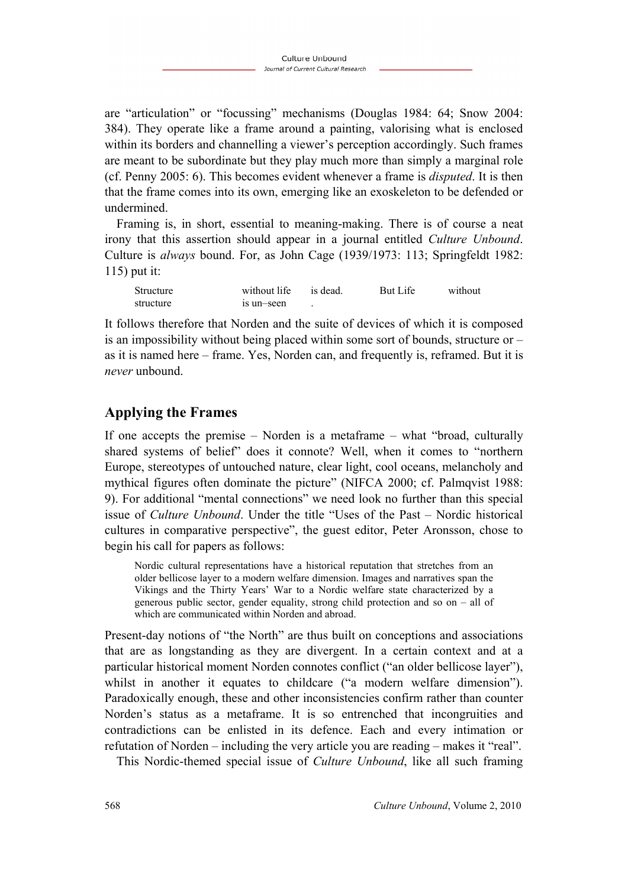are "articulation" or "focussing" mechanisms (Douglas 1984: 64; Snow 2004: 384). They operate like a frame around a painting, valorising what is enclosed within its borders and channelling a viewer's perception accordingly. Such frames are meant to be subordinate but they play much more than simply a marginal role (cf. Penny 2005: 6). This becomes evident whenever a frame is *disputed*. It is then that the frame comes into its own, emerging like an exoskeleton to be defended or undermined.

Framing is, in short, essential to meaning-making. There is of course a neat irony that this assertion should appear in a journal entitled *Culture Unbound*. Culture is *always* bound. For, as John Cage (1939/1973: 113; Springfeldt 1982: 115) put it:

Structure without life is dead. But Life without structure is un–seen

It follows therefore that Norden and the suite of devices of which it is composed is an impossibility without being placed within some sort of bounds, structure or – as it is named here – frame. Yes, Norden can, and frequently is, reframed. But it is *never* unbound.

# **Applying the Frames**

If one accepts the premise – Norden is a metaframe – what "broad, culturally shared systems of belief" does it connote? Well, when it comes to "northern Europe, stereotypes of untouched nature, clear light, cool oceans, melancholy and mythical figures often dominate the picture" (NIFCA 2000; cf. Palmqvist 1988: 9). For additional "mental connections" we need look no further than this special issue of *Culture Unbound*. Under the title "Uses of the Past – Nordic historical cultures in comparative perspective", the guest editor, Peter Aronsson, chose to begin his call for papers as follows:

Nordic cultural representations have a historical reputation that stretches from an older bellicose layer to a modern welfare dimension. Images and narratives span the Vikings and the Thirty Years' War to a Nordic welfare state characterized by a generous public sector, gender equality, strong child protection and so on – all of which are communicated within Norden and abroad.

Present-day notions of "the North" are thus built on conceptions and associations that are as longstanding as they are divergent. In a certain context and at a particular historical moment Norden connotes conflict ("an older bellicose layer"), whilst in another it equates to childcare ("a modern welfare dimension"). Paradoxically enough, these and other inconsistencies confirm rather than counter Norden's status as a metaframe. It is so entrenched that incongruities and contradictions can be enlisted in its defence. Each and every intimation or refutation of Norden – including the very article you are reading – makes it "real".

This Nordic-themed special issue of *Culture Unbound*, like all such framing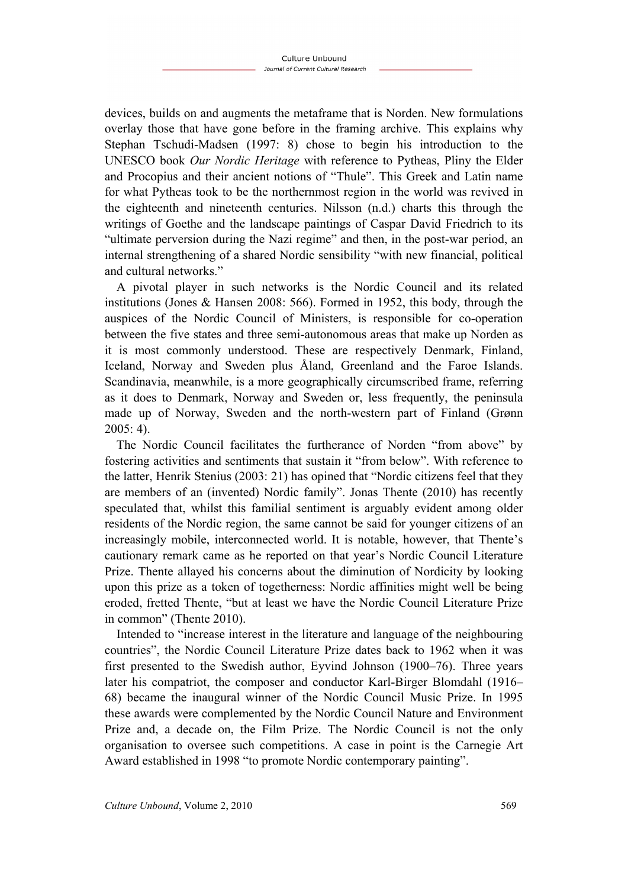devices, builds on and augments the metaframe that is Norden. New formulations overlay those that have gone before in the framing archive. This explains why Stephan Tschudi-Madsen (1997: 8) chose to begin his introduction to the UNESCO book *Our Nordic Heritage* with reference to Pytheas, Pliny the Elder and Procopius and their ancient notions of "Thule". This Greek and Latin name for what Pytheas took to be the northernmost region in the world was revived in the eighteenth and nineteenth centuries. Nilsson (n.d.) charts this through the writings of Goethe and the landscape paintings of Caspar David Friedrich to its "ultimate perversion during the Nazi regime" and then, in the post-war period, an internal strengthening of a shared Nordic sensibility "with new financial, political and cultural networks."

A pivotal player in such networks is the Nordic Council and its related institutions (Jones & Hansen 2008: 566). Formed in 1952, this body, through the auspices of the Nordic Council of Ministers, is responsible for co-operation between the five states and three semi-autonomous areas that make up Norden as it is most commonly understood. These are respectively Denmark, Finland, Iceland, Norway and Sweden plus Åland, Greenland and the Faroe Islands. Scandinavia, meanwhile, is a more geographically circumscribed frame, referring as it does to Denmark, Norway and Sweden or, less frequently, the peninsula made up of Norway, Sweden and the north-western part of Finland (Grønn 2005: 4).

The Nordic Council facilitates the furtherance of Norden "from above" by fostering activities and sentiments that sustain it "from below". With reference to the latter, Henrik Stenius (2003: 21) has opined that "Nordic citizens feel that they are members of an (invented) Nordic family". Jonas Thente (2010) has recently speculated that, whilst this familial sentiment is arguably evident among older residents of the Nordic region, the same cannot be said for younger citizens of an increasingly mobile, interconnected world. It is notable, however, that Thente's cautionary remark came as he reported on that year's Nordic Council Literature Prize. Thente allayed his concerns about the diminution of Nordicity by looking upon this prize as a token of togetherness: Nordic affinities might well be being eroded, fretted Thente, "but at least we have the Nordic Council Literature Prize in common" (Thente 2010).

Intended to "increase interest in the literature and language of the neighbouring countries", the Nordic Council Literature Prize dates back to 1962 when it was first presented to the Swedish author, Eyvind Johnson (1900–76). Three years later his compatriot, the composer and conductor Karl-Birger Blomdahl (1916– 68) became the inaugural winner of the Nordic Council Music Prize. In 1995 these awards were complemented by the Nordic Council Nature and Environment Prize and, a decade on, the Film Prize. The Nordic Council is not the only organisation to oversee such competitions. A case in point is the Carnegie Art Award established in 1998 "to promote Nordic contemporary painting".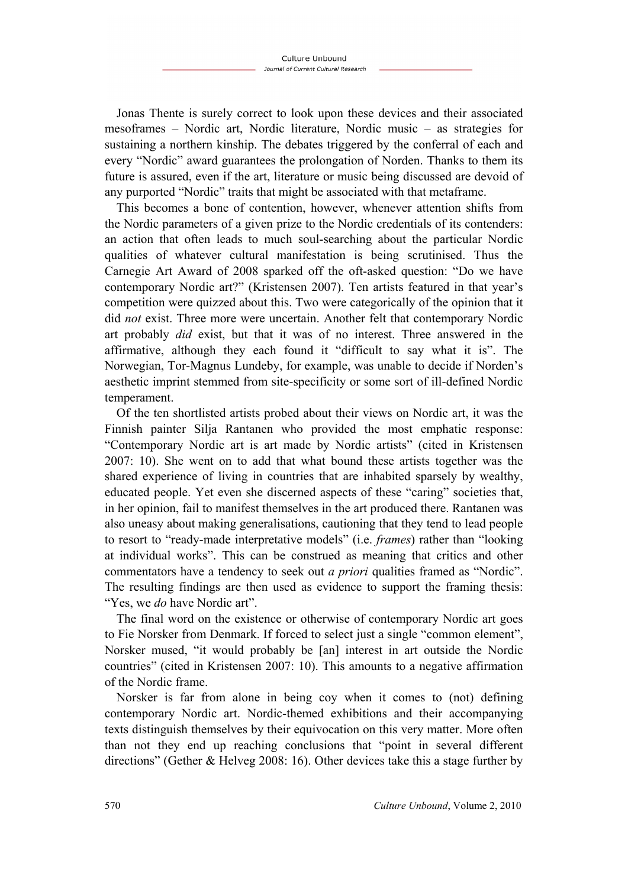Jonas Thente is surely correct to look upon these devices and their associated mesoframes – Nordic art, Nordic literature, Nordic music – as strategies for sustaining a northern kinship. The debates triggered by the conferral of each and every "Nordic" award guarantees the prolongation of Norden. Thanks to them its future is assured, even if the art, literature or music being discussed are devoid of any purported "Nordic" traits that might be associated with that metaframe.

This becomes a bone of contention, however, whenever attention shifts from the Nordic parameters of a given prize to the Nordic credentials of its contenders: an action that often leads to much soul-searching about the particular Nordic qualities of whatever cultural manifestation is being scrutinised. Thus the Carnegie Art Award of 2008 sparked off the oft-asked question: "Do we have contemporary Nordic art?" (Kristensen 2007). Ten artists featured in that year's competition were quizzed about this. Two were categorically of the opinion that it did *not* exist. Three more were uncertain. Another felt that contemporary Nordic art probably *did* exist, but that it was of no interest. Three answered in the affirmative, although they each found it "difficult to say what it is". The Norwegian, Tor-Magnus Lundeby, for example, was unable to decide if Norden's aesthetic imprint stemmed from site-specificity or some sort of ill-defined Nordic temperament.

Of the ten shortlisted artists probed about their views on Nordic art, it was the Finnish painter Silja Rantanen who provided the most emphatic response: "Contemporary Nordic art is art made by Nordic artists" (cited in Kristensen 2007: 10). She went on to add that what bound these artists together was the shared experience of living in countries that are inhabited sparsely by wealthy, educated people. Yet even she discerned aspects of these "caring" societies that, in her opinion, fail to manifest themselves in the art produced there. Rantanen was also uneasy about making generalisations, cautioning that they tend to lead people to resort to "ready-made interpretative models" (i.e. *frames*) rather than "looking at individual works". This can be construed as meaning that critics and other commentators have a tendency to seek out *a priori* qualities framed as "Nordic". The resulting findings are then used as evidence to support the framing thesis: "Yes, we *do* have Nordic art".

The final word on the existence or otherwise of contemporary Nordic art goes to Fie Norsker from Denmark. If forced to select just a single "common element", Norsker mused, "it would probably be [an] interest in art outside the Nordic countries" (cited in Kristensen 2007: 10). This amounts to a negative affirmation of the Nordic frame.

Norsker is far from alone in being coy when it comes to (not) defining contemporary Nordic art. Nordic-themed exhibitions and their accompanying texts distinguish themselves by their equivocation on this very matter. More often than not they end up reaching conclusions that "point in several different directions" (Gether & Helveg 2008: 16). Other devices take this a stage further by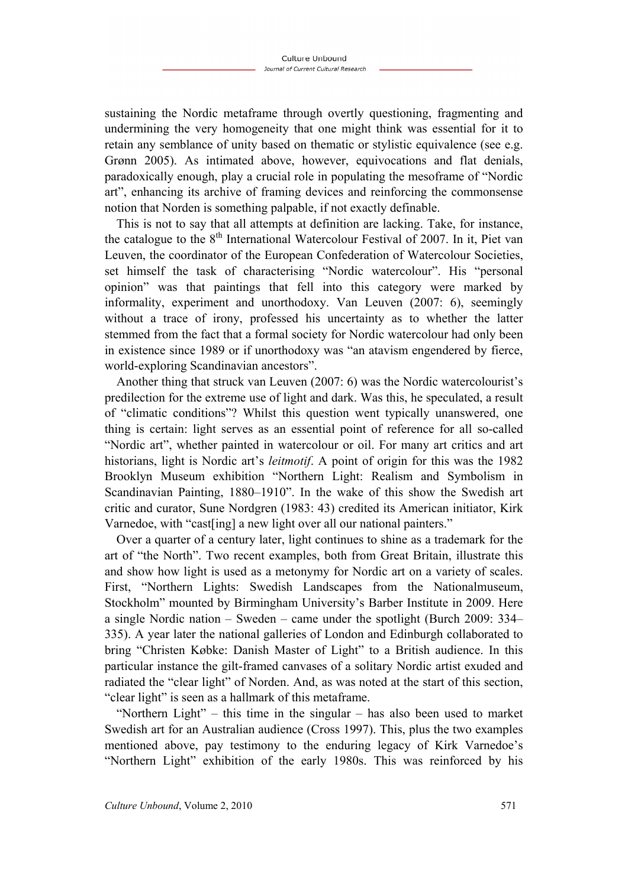sustaining the Nordic metaframe through overtly questioning, fragmenting and undermining the very homogeneity that one might think was essential for it to retain any semblance of unity based on thematic or stylistic equivalence (see e.g. Grønn 2005). As intimated above, however, equivocations and flat denials, paradoxically enough, play a crucial role in populating the mesoframe of "Nordic art", enhancing its archive of framing devices and reinforcing the commonsense notion that Norden is something palpable, if not exactly definable.

This is not to say that all attempts at definition are lacking. Take, for instance, the catalogue to the  $8<sup>th</sup>$  International Watercolour Festival of 2007. In it, Piet van Leuven, the coordinator of the European Confederation of Watercolour Societies, set himself the task of characterising "Nordic watercolour". His "personal opinion" was that paintings that fell into this category were marked by informality, experiment and unorthodoxy. Van Leuven (2007: 6), seemingly without a trace of irony, professed his uncertainty as to whether the latter stemmed from the fact that a formal society for Nordic watercolour had only been in existence since 1989 or if unorthodoxy was "an atavism engendered by fierce, world-exploring Scandinavian ancestors".

Another thing that struck van Leuven (2007: 6) was the Nordic watercolourist's predilection for the extreme use of light and dark. Was this, he speculated, a result of "climatic conditions"? Whilst this question went typically unanswered, one thing is certain: light serves as an essential point of reference for all so-called "Nordic art", whether painted in watercolour or oil. For many art critics and art historians, light is Nordic art's *leitmotif*. A point of origin for this was the 1982 Brooklyn Museum exhibition "Northern Light: Realism and Symbolism in Scandinavian Painting, 1880–1910". In the wake of this show the Swedish art critic and curator, Sune Nordgren (1983: 43) credited its American initiator, Kirk Varnedoe, with "cast[ing] a new light over all our national painters."

Over a quarter of a century later, light continues to shine as a trademark for the art of "the North". Two recent examples, both from Great Britain, illustrate this and show how light is used as a metonymy for Nordic art on a variety of scales. First, "Northern Lights: Swedish Landscapes from the Nationalmuseum, Stockholm" mounted by Birmingham University's Barber Institute in 2009. Here a single Nordic nation – Sweden – came under the spotlight (Burch 2009: 334– 335). A year later the national galleries of London and Edinburgh collaborated to bring "Christen Købke: Danish Master of Light" to a British audience. In this particular instance the gilt-framed canvases of a solitary Nordic artist exuded and radiated the "clear light" of Norden. And, as was noted at the start of this section, "clear light" is seen as a hallmark of this metaframe.

"Northern Light" – this time in the singular – has also been used to market Swedish art for an Australian audience (Cross 1997). This, plus the two examples mentioned above, pay testimony to the enduring legacy of Kirk Varnedoe's "Northern Light" exhibition of the early 1980s. This was reinforced by his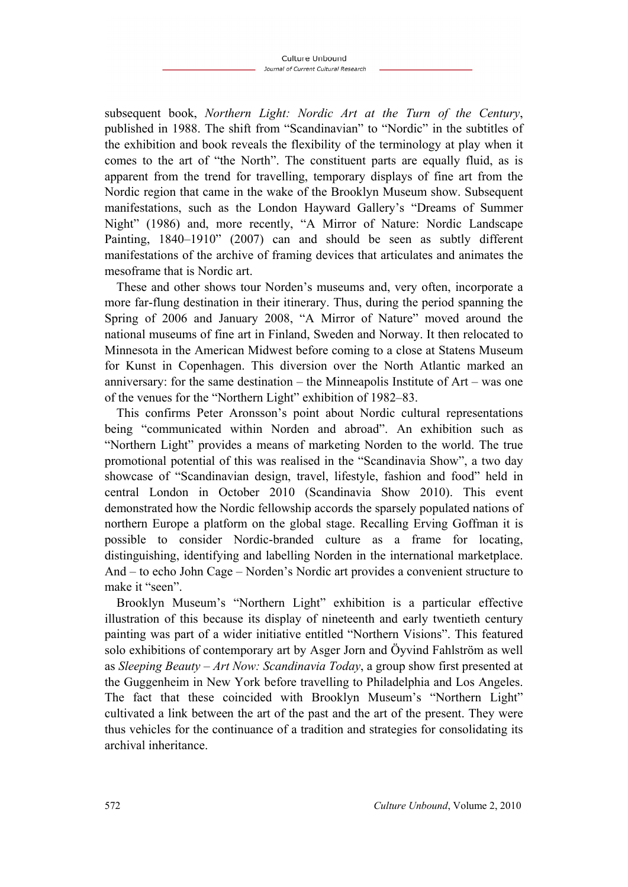subsequent book, *Northern Light: Nordic Art at the Turn of the Century*, published in 1988. The shift from "Scandinavian" to "Nordic" in the subtitles of the exhibition and book reveals the flexibility of the terminology at play when it comes to the art of "the North". The constituent parts are equally fluid, as is apparent from the trend for travelling, temporary displays of fine art from the Nordic region that came in the wake of the Brooklyn Museum show. Subsequent manifestations, such as the London Hayward Gallery's "Dreams of Summer Night" (1986) and, more recently, "A Mirror of Nature: Nordic Landscape Painting, 1840–1910" (2007) can and should be seen as subtly different manifestations of the archive of framing devices that articulates and animates the mesoframe that is Nordic art.

These and other shows tour Norden's museums and, very often, incorporate a more far-flung destination in their itinerary. Thus, during the period spanning the Spring of 2006 and January 2008, "A Mirror of Nature" moved around the national museums of fine art in Finland, Sweden and Norway. It then relocated to Minnesota in the American Midwest before coming to a close at Statens Museum for Kunst in Copenhagen. This diversion over the North Atlantic marked an anniversary: for the same destination – the Minneapolis Institute of Art – was one of the venues for the "Northern Light" exhibition of 1982–83.

This confirms Peter Aronsson's point about Nordic cultural representations being "communicated within Norden and abroad". An exhibition such as "Northern Light" provides a means of marketing Norden to the world. The true promotional potential of this was realised in the "Scandinavia Show", a two day showcase of "Scandinavian design, travel, lifestyle, fashion and food" held in central London in October 2010 (Scandinavia Show 2010). This event demonstrated how the Nordic fellowship accords the sparsely populated nations of northern Europe a platform on the global stage. Recalling Erving Goffman it is possible to consider Nordic-branded culture as a frame for locating, distinguishing, identifying and labelling Norden in the international marketplace. And – to echo John Cage – Norden's Nordic art provides a convenient structure to make it "seen".

Brooklyn Museum's "Northern Light" exhibition is a particular effective illustration of this because its display of nineteenth and early twentieth century painting was part of a wider initiative entitled "Northern Visions". This featured solo exhibitions of contemporary art by Asger Jorn and Öyvind Fahlström as well as *Sleeping Beauty – Art Now: Scandinavia Today*, a group show first presented at the Guggenheim in New York before travelling to Philadelphia and Los Angeles. The fact that these coincided with Brooklyn Museum's "Northern Light" cultivated a link between the art of the past and the art of the present. They were thus vehicles for the continuance of a tradition and strategies for consolidating its archival inheritance.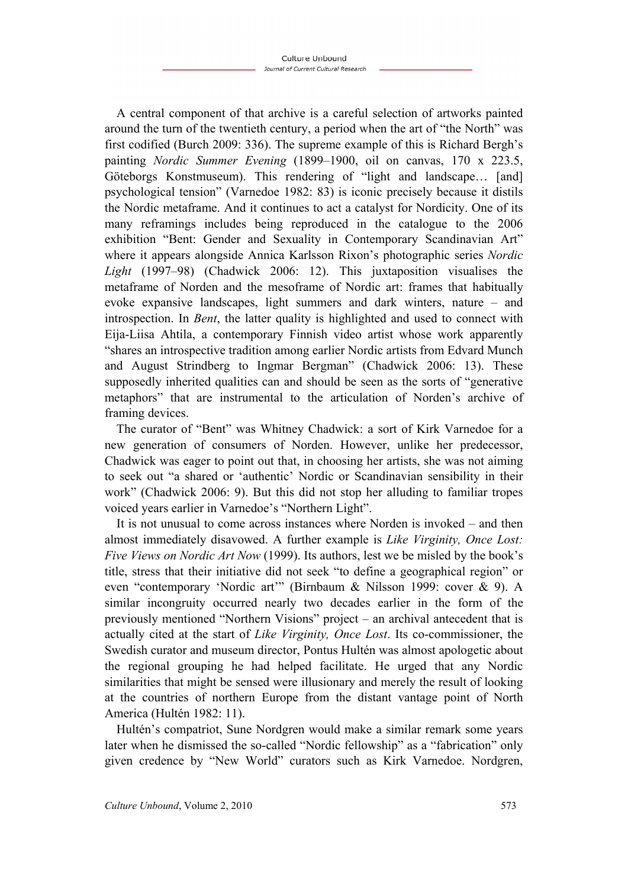A central component of that archive is a careful selection of artworks painted around the turn of the twentieth century, a period when the art of "the North" was first codified (Burch 2009: 336). The supreme example of this is Richard Bergh's painting *Nordic Summer Evening* (1899–1900, oil on canvas, 170 x 223.5, Göteborgs Konstmuseum). This rendering of "light and landscape… [and] psychological tension" (Varnedoe 1982: 83) is iconic precisely because it distils the Nordic metaframe. And it continues to act a catalyst for Nordicity. One of its many reframings includes being reproduced in the catalogue to the 2006 exhibition "Bent: Gender and Sexuality in Contemporary Scandinavian Art" where it appears alongside Annica Karlsson Rixon's photographic series *Nordic Light* (1997–98) (Chadwick 2006: 12). This juxtaposition visualises the metaframe of Norden and the mesoframe of Nordic art: frames that habitually evoke expansive landscapes, light summers and dark winters, nature – and introspection. In *Bent*, the latter quality is highlighted and used to connect with Eija-Liisa Ahtila, a contemporary Finnish video artist whose work apparently "shares an introspective tradition among earlier Nordic artists from Edvard Munch and August Strindberg to Ingmar Bergman" (Chadwick 2006: 13). These supposedly inherited qualities can and should be seen as the sorts of "generative metaphors" that are instrumental to the articulation of Norden's archive of framing devices.

The curator of "Bent" was Whitney Chadwick: a sort of Kirk Varnedoe for a new generation of consumers of Norden. However, unlike her predecessor, Chadwick was eager to point out that, in choosing her artists, she was not aiming to seek out "a shared or 'authentic' Nordic or Scandinavian sensibility in their work" (Chadwick 2006: 9). But this did not stop her alluding to familiar tropes voiced years earlier in Varnedoe's "Northern Light".

It is not unusual to come across instances where Norden is invoked – and then almost immediately disavowed. A further example is *Like Virginity, Once Lost: Five Views on Nordic Art Now* (1999). Its authors, lest we be misled by the book's title, stress that their initiative did not seek "to define a geographical region" or even "contemporary 'Nordic art'" (Birnbaum & Nilsson 1999: cover & 9). A similar incongruity occurred nearly two decades earlier in the form of the previously mentioned "Northern Visions" project – an archival antecedent that is actually cited at the start of *Like Virginity, Once Lost*. Its co-commissioner, the Swedish curator and museum director, Pontus Hultén was almost apologetic about the regional grouping he had helped facilitate. He urged that any Nordic similarities that might be sensed were illusionary and merely the result of looking at the countries of northern Europe from the distant vantage point of North America (Hultén 1982: 11).

Hultén's compatriot, Sune Nordgren would make a similar remark some years later when he dismissed the so-called "Nordic fellowship" as a "fabrication" only given credence by "New World" curators such as Kirk Varnedoe. Nordgren,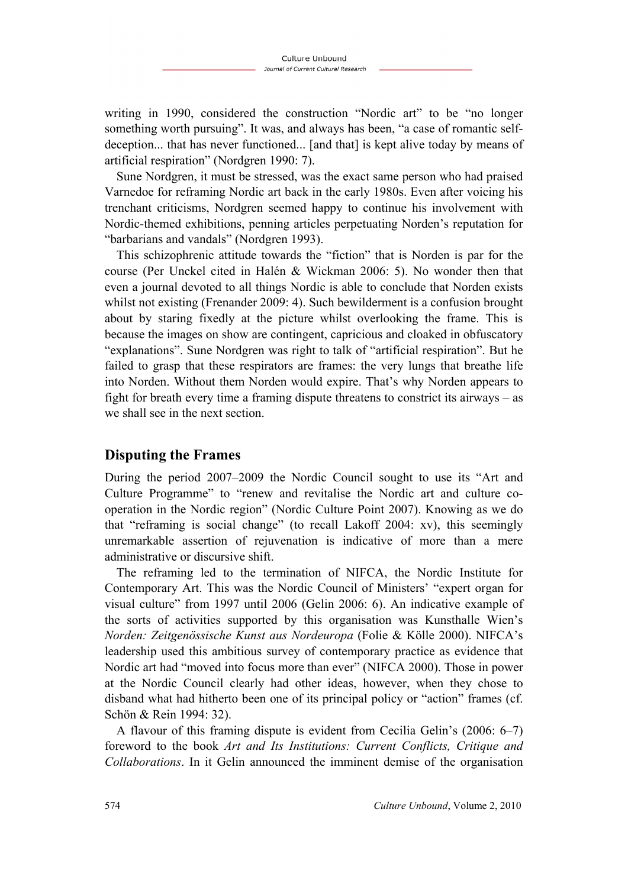writing in 1990, considered the construction "Nordic art" to be "no longer something worth pursuing". It was, and always has been, "a case of romantic selfdeception... that has never functioned... [and that] is kept alive today by means of artificial respiration" (Nordgren 1990: 7).

Sune Nordgren, it must be stressed, was the exact same person who had praised Varnedoe for reframing Nordic art back in the early 1980s. Even after voicing his trenchant criticisms, Nordgren seemed happy to continue his involvement with Nordic-themed exhibitions, penning articles perpetuating Norden's reputation for "barbarians and vandals" (Nordgren 1993).

This schizophrenic attitude towards the "fiction" that is Norden is par for the course (Per Unckel cited in Halén & Wickman 2006: 5). No wonder then that even a journal devoted to all things Nordic is able to conclude that Norden exists whilst not existing (Frenander 2009: 4). Such bewilderment is a confusion brought about by staring fixedly at the picture whilst overlooking the frame. This is because the images on show are contingent, capricious and cloaked in obfuscatory "explanations". Sune Nordgren was right to talk of "artificial respiration". But he failed to grasp that these respirators are frames: the very lungs that breathe life into Norden. Without them Norden would expire. That's why Norden appears to fight for breath every time a framing dispute threatens to constrict its airways – as we shall see in the next section.

# **Disputing the Frames**

During the period 2007–2009 the Nordic Council sought to use its "Art and Culture Programme" to "renew and revitalise the Nordic art and culture cooperation in the Nordic region" (Nordic Culture Point 2007). Knowing as we do that "reframing is social change" (to recall Lakoff 2004: xv), this seemingly unremarkable assertion of rejuvenation is indicative of more than a mere administrative or discursive shift.

The reframing led to the termination of NIFCA, the Nordic Institute for Contemporary Art. This was the Nordic Council of Ministers' "expert organ for visual culture" from 1997 until 2006 (Gelin 2006: 6). An indicative example of the sorts of activities supported by this organisation was Kunsthalle Wien's *Norden: Zeitgenössische Kunst aus Nordeuropa* (Folie & Kölle 2000). NIFCA's leadership used this ambitious survey of contemporary practice as evidence that Nordic art had "moved into focus more than ever" (NIFCA 2000). Those in power at the Nordic Council clearly had other ideas, however, when they chose to disband what had hitherto been one of its principal policy or "action" frames (cf. Schön & Rein 1994: 32).

A flavour of this framing dispute is evident from Cecilia Gelin's (2006: 6–7) foreword to the book *Art and Its Institutions: Current Conflicts, Critique and Collaborations*. In it Gelin announced the imminent demise of the organisation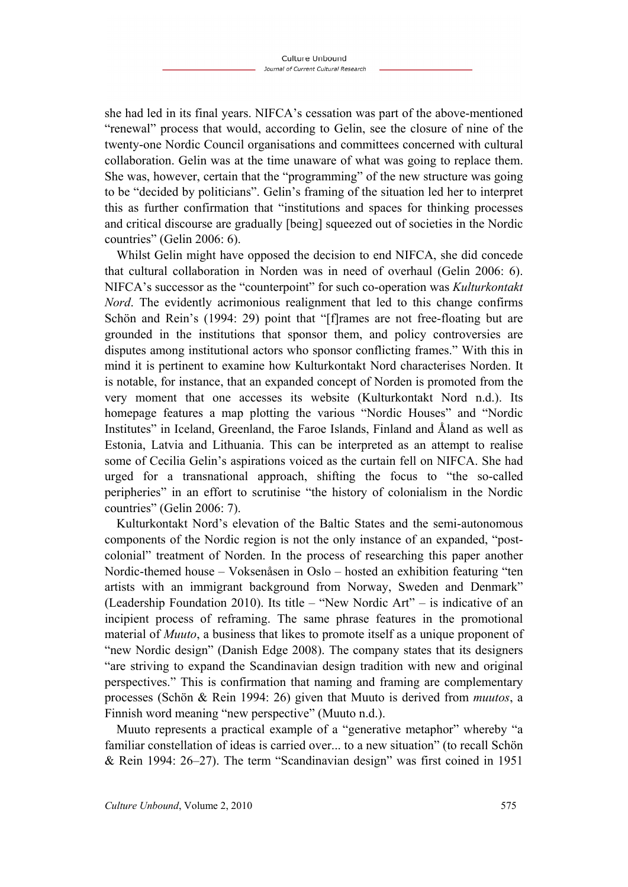she had led in its final years. NIFCA's cessation was part of the above-mentioned "renewal" process that would, according to Gelin, see the closure of nine of the twenty-one Nordic Council organisations and committees concerned with cultural collaboration. Gelin was at the time unaware of what was going to replace them. She was, however, certain that the "programming" of the new structure was going to be "decided by politicians". Gelin's framing of the situation led her to interpret this as further confirmation that "institutions and spaces for thinking processes and critical discourse are gradually [being] squeezed out of societies in the Nordic countries" (Gelin 2006: 6).

Whilst Gelin might have opposed the decision to end NIFCA, she did concede that cultural collaboration in Norden was in need of overhaul (Gelin 2006: 6). NIFCA's successor as the "counterpoint" for such co-operation was *Kulturkontakt Nord*. The evidently acrimonious realignment that led to this change confirms Schön and Rein's (1994: 29) point that "[f]rames are not free-floating but are grounded in the institutions that sponsor them, and policy controversies are disputes among institutional actors who sponsor conflicting frames." With this in mind it is pertinent to examine how Kulturkontakt Nord characterises Norden. It is notable, for instance, that an expanded concept of Norden is promoted from the very moment that one accesses its website (Kulturkontakt Nord n.d.). Its homepage features a map plotting the various "Nordic Houses" and "Nordic Institutes" in Iceland, Greenland, the Faroe Islands, Finland and Åland as well as Estonia, Latvia and Lithuania. This can be interpreted as an attempt to realise some of Cecilia Gelin's aspirations voiced as the curtain fell on NIFCA. She had urged for a transnational approach, shifting the focus to "the so-called peripheries" in an effort to scrutinise "the history of colonialism in the Nordic countries" (Gelin 2006: 7).

Kulturkontakt Nord's elevation of the Baltic States and the semi-autonomous components of the Nordic region is not the only instance of an expanded, "postcolonial" treatment of Norden. In the process of researching this paper another Nordic-themed house – Voksenåsen in Oslo – hosted an exhibition featuring "ten artists with an immigrant background from Norway, Sweden and Denmark" (Leadership Foundation 2010). Its title – "New Nordic Art" – is indicative of an incipient process of reframing. The same phrase features in the promotional material of *Muuto*, a business that likes to promote itself as a unique proponent of "new Nordic design" (Danish Edge 2008). The company states that its designers "are striving to expand the Scandinavian design tradition with new and original perspectives." This is confirmation that naming and framing are complementary processes (Schön & Rein 1994: 26) given that Muuto is derived from *muutos*, a Finnish word meaning "new perspective" (Muuto n.d.).

Muuto represents a practical example of a "generative metaphor" whereby "a familiar constellation of ideas is carried over... to a new situation" (to recall Schön & Rein 1994: 26–27). The term "Scandinavian design" was first coined in 1951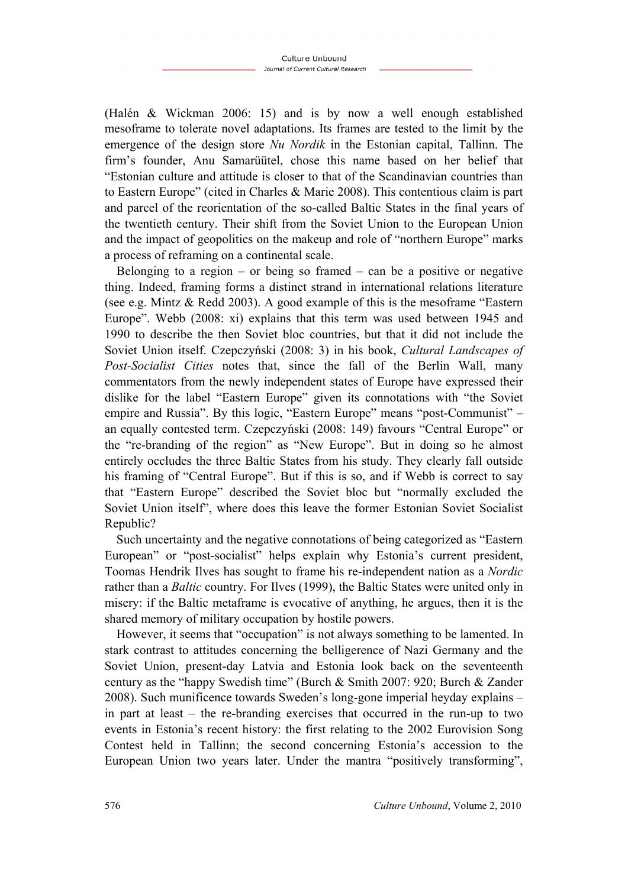(Halén & Wickman 2006: 15) and is by now a well enough established mesoframe to tolerate novel adaptations. Its frames are tested to the limit by the emergence of the design store *Nu Nordik* in the Estonian capital, Tallinn. The firm's founder, Anu Samarüütel, chose this name based on her belief that "Estonian culture and attitude is closer to that of the Scandinavian countries than to Eastern Europe" (cited in Charles & Marie 2008). This contentious claim is part and parcel of the reorientation of the so-called Baltic States in the final years of the twentieth century. Their shift from the Soviet Union to the European Union and the impact of geopolitics on the makeup and role of "northern Europe" marks a process of reframing on a continental scale.

Belonging to a region – or being so framed – can be a positive or negative thing. Indeed, framing forms a distinct strand in international relations literature (see e.g. Mintz & Redd 2003). A good example of this is the mesoframe "Eastern Europe". Webb (2008: xi) explains that this term was used between 1945 and 1990 to describe the then Soviet bloc countries, but that it did not include the Soviet Union itself. Czepczyński (2008: 3) in his book, *Cultural Landscapes of Post-Socialist Cities* notes that, since the fall of the Berlin Wall, many commentators from the newly independent states of Europe have expressed their dislike for the label "Eastern Europe" given its connotations with "the Soviet empire and Russia". By this logic, "Eastern Europe" means "post-Communist" – an equally contested term. Czepczyński (2008: 149) favours "Central Europe" or the "re-branding of the region" as "New Europe". But in doing so he almost entirely occludes the three Baltic States from his study. They clearly fall outside his framing of "Central Europe". But if this is so, and if Webb is correct to say that "Eastern Europe" described the Soviet bloc but "normally excluded the Soviet Union itself", where does this leave the former Estonian Soviet Socialist Republic?

Such uncertainty and the negative connotations of being categorized as "Eastern European" or "post-socialist" helps explain why Estonia's current president, Toomas Hendrik Ilves has sought to frame his re-independent nation as a *Nordic* rather than a *Baltic* country. For Ilves (1999), the Baltic States were united only in misery: if the Baltic metaframe is evocative of anything, he argues, then it is the shared memory of military occupation by hostile powers.

However, it seems that "occupation" is not always something to be lamented. In stark contrast to attitudes concerning the belligerence of Nazi Germany and the Soviet Union, present-day Latvia and Estonia look back on the seventeenth century as the "happy Swedish time" (Burch & Smith 2007: 920; Burch & Zander 2008). Such munificence towards Sweden's long-gone imperial heyday explains – in part at least – the re-branding exercises that occurred in the run-up to two events in Estonia's recent history: the first relating to the 2002 Eurovision Song Contest held in Tallinn; the second concerning Estonia's accession to the European Union two years later. Under the mantra "positively transforming",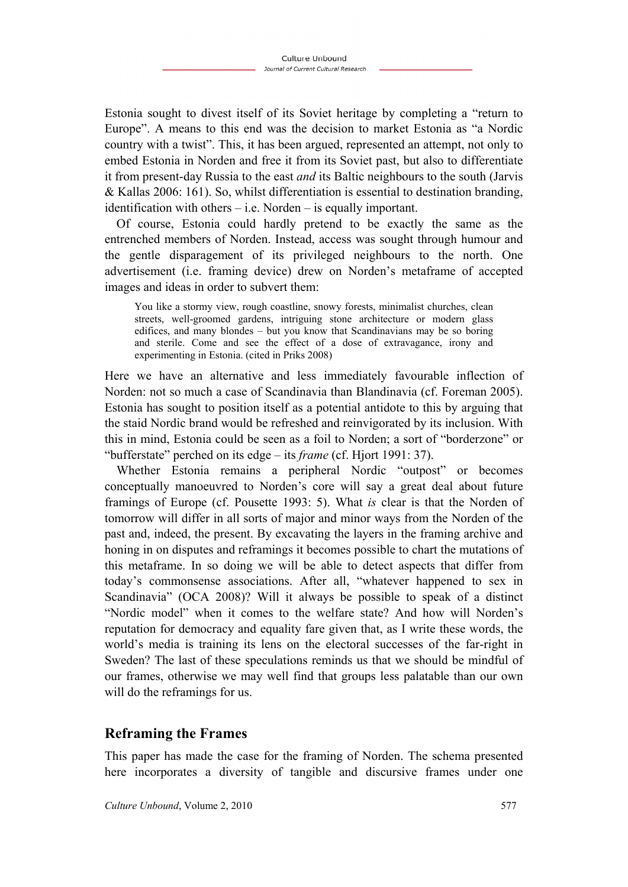Estonia sought to divest itself of its Soviet heritage by completing a "return to Europe". A means to this end was the decision to market Estonia as "a Nordic country with a twist". This, it has been argued, represented an attempt, not only to embed Estonia in Norden and free it from its Soviet past, but also to differentiate it from present-day Russia to the east *and* its Baltic neighbours to the south (Jarvis & Kallas 2006: 161). So, whilst differentiation is essential to destination branding, identification with others – i.e. Norden – is equally important.

Of course, Estonia could hardly pretend to be exactly the same as the entrenched members of Norden. Instead, access was sought through humour and the gentle disparagement of its privileged neighbours to the north. One advertisement (i.e. framing device) drew on Norden's metaframe of accepted images and ideas in order to subvert them:

You like a stormy view, rough coastline, snowy forests, minimalist churches, clean streets, well-groomed gardens, intriguing stone architecture or modern glass edifices, and many blondes – but you know that Scandinavians may be so boring and sterile. Come and see the effect of a dose of extravagance, irony and experimenting in Estonia. (cited in Priks 2008)

Here we have an alternative and less immediately favourable inflection of Norden: not so much a case of Scandinavia than Blandinavia (cf. Foreman 2005). Estonia has sought to position itself as a potential antidote to this by arguing that the staid Nordic brand would be refreshed and reinvigorated by its inclusion. With this in mind, Estonia could be seen as a foil to Norden; a sort of "borderzone" or "bufferstate" perched on its edge – its *frame* (cf. Hjort 1991: 37).

Whether Estonia remains a peripheral Nordic "outpost" or becomes conceptually manoeuvred to Norden's core will say a great deal about future framings of Europe (cf. Pousette 1993: 5). What *is* clear is that the Norden of tomorrow will differ in all sorts of major and minor ways from the Norden of the past and, indeed, the present. By excavating the layers in the framing archive and honing in on disputes and reframings it becomes possible to chart the mutations of this metaframe. In so doing we will be able to detect aspects that differ from today's commonsense associations. After all, "whatever happened to sex in Scandinavia" (OCA 2008)? Will it always be possible to speak of a distinct "Nordic model" when it comes to the welfare state? And how will Norden's reputation for democracy and equality fare given that, as I write these words, the world's media is training its lens on the electoral successes of the far-right in Sweden? The last of these speculations reminds us that we should be mindful of our frames, otherwise we may well find that groups less palatable than our own will do the reframings for us.

# **Reframing the Frames**

This paper has made the case for the framing of Norden. The schema presented here incorporates a diversity of tangible and discursive frames under one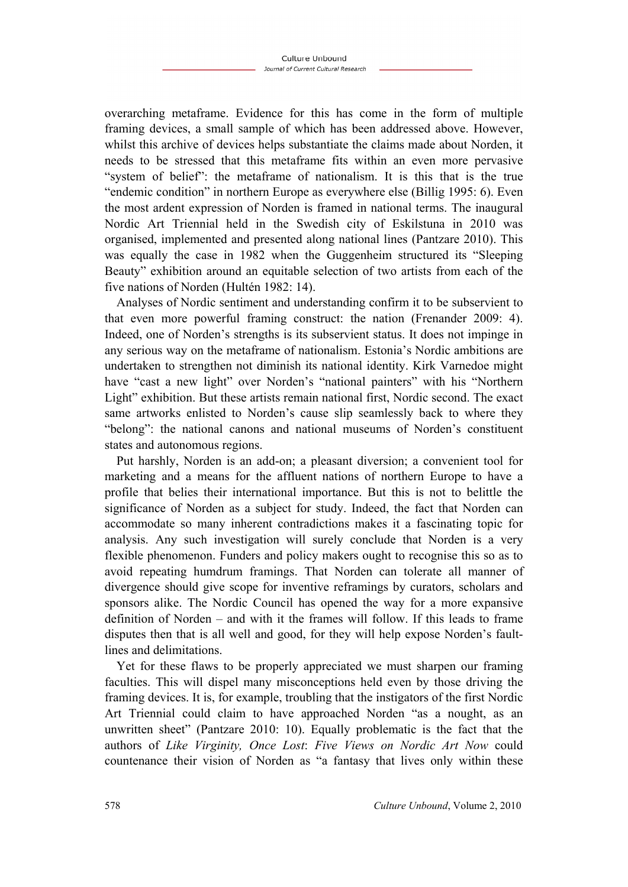overarching metaframe. Evidence for this has come in the form of multiple framing devices, a small sample of which has been addressed above. However, whilst this archive of devices helps substantiate the claims made about Norden, it needs to be stressed that this metaframe fits within an even more pervasive "system of belief": the metaframe of nationalism. It is this that is the true "endemic condition" in northern Europe as everywhere else (Billig 1995: 6). Even the most ardent expression of Norden is framed in national terms. The inaugural Nordic Art Triennial held in the Swedish city of Eskilstuna in 2010 was organised, implemented and presented along national lines (Pantzare 2010). This was equally the case in 1982 when the Guggenheim structured its "Sleeping Beauty" exhibition around an equitable selection of two artists from each of the five nations of Norden (Hultén 1982: 14).

Analyses of Nordic sentiment and understanding confirm it to be subservient to that even more powerful framing construct: the nation (Frenander 2009: 4). Indeed, one of Norden's strengths is its subservient status. It does not impinge in any serious way on the metaframe of nationalism. Estonia's Nordic ambitions are undertaken to strengthen not diminish its national identity. Kirk Varnedoe might have "cast a new light" over Norden's "national painters" with his "Northern Light" exhibition. But these artists remain national first, Nordic second. The exact same artworks enlisted to Norden's cause slip seamlessly back to where they "belong": the national canons and national museums of Norden's constituent states and autonomous regions.

Put harshly, Norden is an add-on; a pleasant diversion; a convenient tool for marketing and a means for the affluent nations of northern Europe to have a profile that belies their international importance. But this is not to belittle the significance of Norden as a subject for study. Indeed, the fact that Norden can accommodate so many inherent contradictions makes it a fascinating topic for analysis. Any such investigation will surely conclude that Norden is a very flexible phenomenon. Funders and policy makers ought to recognise this so as to avoid repeating humdrum framings. That Norden can tolerate all manner of divergence should give scope for inventive reframings by curators, scholars and sponsors alike. The Nordic Council has opened the way for a more expansive definition of Norden – and with it the frames will follow. If this leads to frame disputes then that is all well and good, for they will help expose Norden's faultlines and delimitations.

Yet for these flaws to be properly appreciated we must sharpen our framing faculties. This will dispel many misconceptions held even by those driving the framing devices. It is, for example, troubling that the instigators of the first Nordic Art Triennial could claim to have approached Norden "as a nought, as an unwritten sheet" (Pantzare 2010: 10). Equally problematic is the fact that the authors of *Like Virginity, Once Lost*: *Five Views on Nordic Art Now* could countenance their vision of Norden as "a fantasy that lives only within these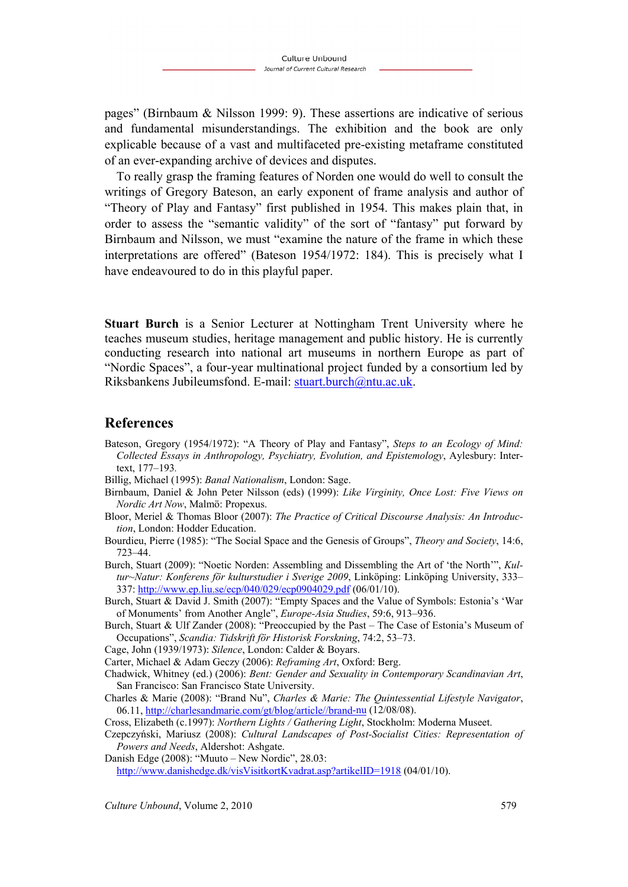pages" (Birnbaum & Nilsson 1999: 9). These assertions are indicative of serious and fundamental misunderstandings. The exhibition and the book are only explicable because of a vast and multifaceted pre-existing metaframe constituted of an ever-expanding archive of devices and disputes.

To really grasp the framing features of Norden one would do well to consult the writings of Gregory Bateson, an early exponent of frame analysis and author of "Theory of Play and Fantasy" first published in 1954. This makes plain that, in order to assess the "semantic validity" of the sort of "fantasy" put forward by Birnbaum and Nilsson, we must "examine the nature of the frame in which these interpretations are offered" (Bateson 1954/1972: 184). This is precisely what I have endeavoured to do in this playful paper.

**Stuart Burch** is a Senior Lecturer at Nottingham Trent University where he teaches museum studies, heritage management and public history. He is currently conducting research into national art museums in northern Europe as part of "Nordic Spaces", a four-year multinational project funded by a consortium led by Riksbankens Jubileumsfond. E-mail: [stuart.burch@ntu.ac.uk](mailto:stuart.burch@ntu.ac.uk).

### **References**

- Bateson, Gregory (1954/1972): "A Theory of Play and Fantasy", *Steps to an Ecology of Mind: Collected Essays in Anthropology, Psychiatry, Evolution, and Epistemology*, Aylesbury: Intertext, 177–193*.*
- Billig, Michael (1995): *Banal Nationalism*, London: Sage.
- Birnbaum, Daniel & John Peter Nilsson (eds) (1999): *Like Virginity, Once Lost: Five Views on Nordic Art Now*, Malmö: Propexus.
- Bloor, Meriel & Thomas Bloor (2007): *The Practice of Critical Discourse Analysis: An Introduction*, London: Hodder Education.
- Bourdieu, Pierre (1985): "The Social Space and the Genesis of Groups", *Theory and Society*, 14:6, 723–44.

Burch, Stuart (2009): "Noetic Norden: Assembling and Dissembling the Art of 'the North'", *Kultur~Natur: Konferens för kulturstudier i Sverige 2009*, Linköping: Linköping University, 333– 337: <http://www.ep.liu.se/ecp/040/029/ecp0904029.pdf>(06/01/10).

Burch, Stuart & David J. Smith (2007): "Empty Spaces and the Value of Symbols: Estonia's 'War of Monuments' from Another Angle", *Europe-Asia Studies*, 59:6, 913–936.

Burch, Stuart & Ulf Zander (2008): "Preoccupied by the Past – The Case of Estonia's Museum of Occupations", *Scandia: Tidskrift för Historisk Forskning*, 74:2, 53–73.

Cage, John (1939/1973): *Silence*, London: Calder & Boyars.

Carter, Michael & Adam Geczy (2006): *Reframing Art*, Oxford: Berg.

- Chadwick, Whitney (ed.) (2006): *Bent: Gender and Sexuality in Contemporary Scandinavian Art*, San Francisco: San Francisco State University.
- Charles & Marie (2008): "Brand Nu", *Charles & Marie: The Quintessential Lifestyle Navigator*, 06.11,<http://charlesandmarie.com/gt/blog/article//brand-nu>(12/08/08).

Cross, Elizabeth (c.1997): *Northern Lights / Gathering Light*, Stockholm: Moderna Museet.

Czepczyński, Mariusz (2008): *Cultural Landscapes of Post-Socialist Cities: Representation of Powers and Needs*, Aldershot: Ashgate.

Danish Edge (2008): "Muuto – New Nordic", 28.03:

<http://www.danishedge.dk/visVisitkortKvadrat.asp?artikelID=1918> (04/01/10).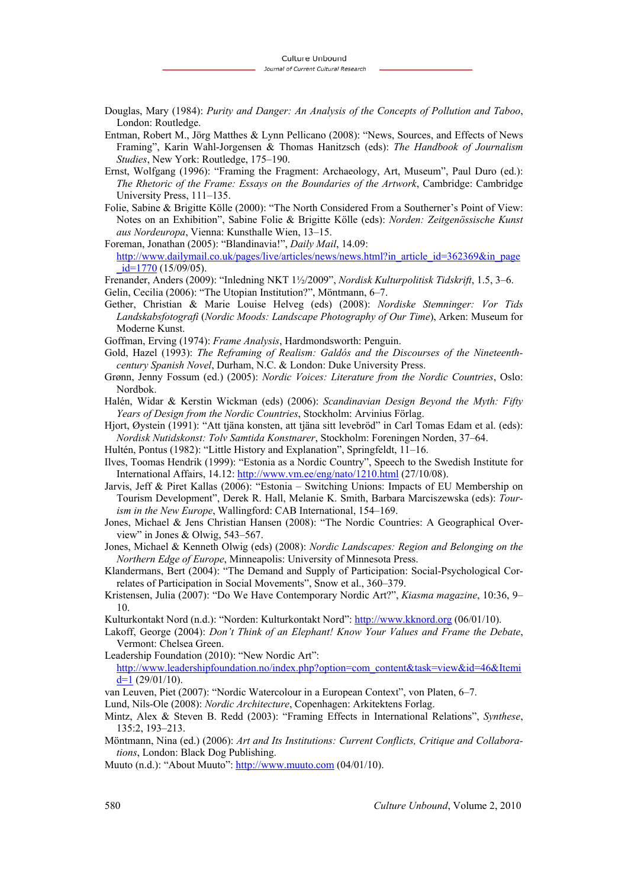- Douglas, Mary (1984): *Purity and Danger: An Analysis of the Concepts of Pollution and Taboo*, London: Routledge.
- Entman, Robert M., Jörg Matthes & Lynn Pellicano (2008): "News, Sources, and Effects of News Framing", Karin Wahl-Jorgensen & Thomas Hanitzsch (eds): *The Handbook of Journalism Studies*, New York: Routledge, 175–190.
- Ernst, Wolfgang (1996): "Framing the Fragment: Archaeology, Art, Museum", Paul Duro (ed.): *The Rhetoric of the Frame: Essays on the Boundaries of the Artwork*, Cambridge: Cambridge University Press, 111–135.
- Folie, Sabine & Brigitte Kölle (2000): "The North Considered From a Southerner's Point of View: Notes on an Exhibition", Sabine Folie & Brigitte Kölle (eds): *Norden: Zeitgenössische Kunst aus Nordeuropa*, Vienna: Kunsthalle Wien, 13–15.

Foreman, Jonathan (2005): "Blandinavia!", *Daily Mail*, 14.09: [http://www.dailymail.co.uk/pages/live/articles/news/news.html?in\\_article\\_id=362369&in\\_page](http://www.dailymail.co.uk/pages/live/articles/news/news.html?in_article_id=362369&in_page_id=1770)  $id=1770$  (15/09/05).

Frenander, Anders (2009): "Inledning NKT 1½/2009", *Nordisk Kulturpolitisk Tidskrift*, 1.5, 3–6.

Gelin, Cecilia (2006): "The Utopian Institution?", Möntmann, 6–7.

- Gether, Christian & Marie Louise Helveg (eds) (2008): *Nordiske Stemninger: Vor Tids Landskabsfotografi* (*Nordic Moods: Landscape Photography of Our Time*), Arken: Museum for Moderne Kunst.
- Goffman, Erving (1974): *Frame Analysis*, Hardmondsworth: Penguin.
- Gold, Hazel (1993): *The Reframing of Realism: Galdós and the Discourses of the Nineteenthcentury Spanish Novel*, Durham, N.C. & London: Duke University Press.
- Grønn, Jenny Fossum (ed.) (2005): *Nordic Voices: Literature from the Nordic Countries*, Oslo: Nordbok.
- Halén, Widar & Kerstin Wickman (eds) (2006): *Scandinavian Design Beyond the Myth: Fifty Years of Design from the Nordic Countries*, Stockholm: Arvinius Förlag.
- Hjort, Øystein (1991): "Att tjäna konsten, att tjäna sitt levebröd" in Carl Tomas Edam et al. (eds): *Nordisk Nutidskonst: Tolv Samtida Konstnarer*, Stockholm: Foreningen Norden, 37–64.

Hultén, Pontus (1982): "Little History and Explanation", Springfeldt, 11–16.

- Ilves, Toomas Hendrik (1999): "Estonia as a Nordic Country", Speech to the Swedish Institute for International Affairs, 14.12:<http://www.vm.ee/eng/nato/1210.html> (27/10/08).
- Jarvis, Jeff & Piret Kallas (2006): "Estonia Switching Unions: Impacts of EU Membership on Tourism Development", Derek R. Hall, Melanie K. Smith, Barbara Marciszewska (eds): *Tourism in the New Europe*, Wallingford: CAB International, 154–169.
- Jones, Michael & Jens Christian Hansen (2008): "The Nordic Countries: A Geographical Overview" in Jones & Olwig, 543–567.
- Jones, Michael & Kenneth Olwig (eds) (2008): *Nordic Landscapes: Region and Belonging on the Northern Edge of Europe*, Minneapolis: University of Minnesota Press.
- Klandermans, Bert (2004): "The Demand and Supply of Participation: Social-Psychological Correlates of Participation in Social Movements", Snow et al., 360–379.
- Kristensen, Julia (2007): "Do We Have Contemporary Nordic Art?", *Kiasma magazine*, 10:36, 9– 10.
- Kulturkontakt Nord (n.d.): "Norden: Kulturkontakt Nord": [http://www.kknord.org](http://www.kknord.org/) (06/01/10).
- Lakoff, George (2004): *Don't Think of an Elephant! Know Your Values and Frame the Debate*, Vermont: Chelsea Green.
- Leadership Foundation (2010): "New Nordic Art": [http://www.leadershipfoundation.no/index.php?option=com\\_content&task=view&id=46&Itemi](http://www.leadershipfoundation.no/index.php?option=com_content&task=view&id=46&Itemid=1)  $d=1$  (29/01/10).
- van Leuven, Piet (2007): "Nordic Watercolour in a European Context", von Platen, 6–7.
- Lund, Nils-Ole (2008): *Nordic Architecture*, Copenhagen: Arkitektens Forlag.
- Mintz, Alex & Steven B. Redd (2003): "Framing Effects in International Relations", *Synthese*, 135:2, 193–213.
- Möntmann, Nina (ed.) (2006): *Art and Its Institutions: Current Conflicts, Critique and Collaborations*, London: Black Dog Publishing.

Muuto (n.d.): "About Muuto": [http://www.muuto.com](http://www.muuto.com/) (04/01/10).